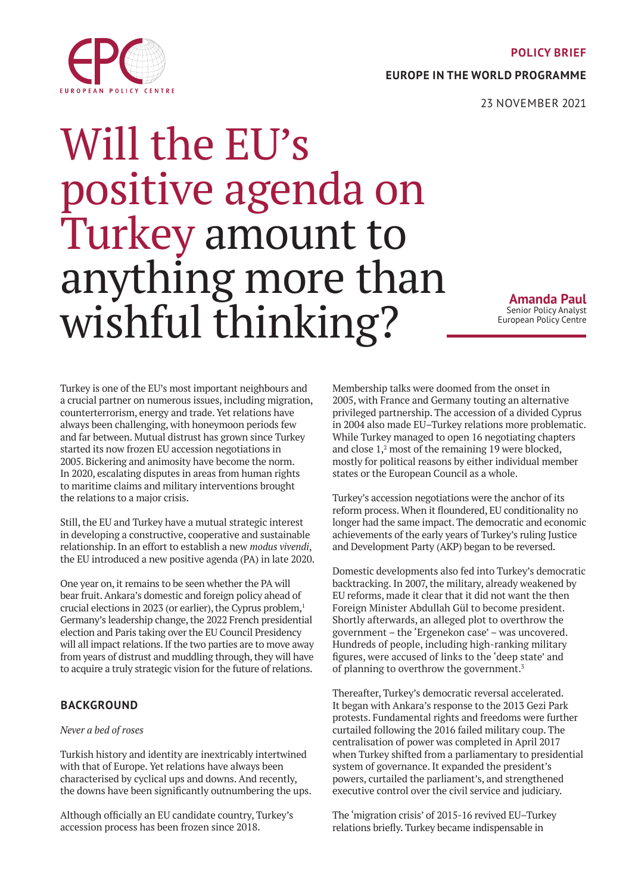#### **POLICY BRIEF**

**EUROPE IN THE WORLD PROGRAMME**



# Will the EU's positive agenda on Turkey amount to anything more than wishful thinking?

**Amanda Paul** Senior Policy Analyst European Policy Centre

Turkey is one of the EU's most important neighbours and a crucial partner on numerous issues, including migration, counterterrorism, energy and trade. Yet relations have always been challenging, with honeymoon periods few and far between. Mutual distrust has grown since Turkey started its now frozen EU accession negotiations in 2005. Bickering and animosity have become the norm. In 2020, escalating disputes in areas from human rights to maritime claims and military interventions brought the relations to a major crisis.

Still, the EU and Turkey have a mutual strategic interest in developing a constructive, cooperative and sustainable relationship. In an effort to establish a new *modus vivendi*, the EU introduced a new positive agenda (PA) in late 2020.

One year on, it remains to be seen whether the PA will bear fruit. Ankara's domestic and foreign policy ahead of crucial elections in 2023 (or earlier), the Cyprus problem,<sup>1</sup> Germany's leadership change, the 2022 French presidential election and Paris taking over the EU Council Presidency will all impact relations. If the two parties are to move away from years of distrust and muddling through, they will have to acquire a truly strategic vision for the future of relations.

# **BACKGROUND**

## *Never a bed of roses*

Turkish history and identity are inextricably intertwined with that of Europe. Yet relations have always been characterised by cyclical ups and downs. And recently, the downs have been significantly outnumbering the ups.

Although officially an EU candidate country, Turkey's accession process has been frozen since 2018.

Membership talks were doomed from the onset in 2005, with France and Germany touting an alternative privileged partnership. The accession of a divided Cyprus in 2004 also made EU–Turkey relations more problematic. While Turkey managed to open 16 negotiating chapters and close 1,<sup>2</sup> most of the remaining 19 were blocked, mostly for political reasons by either individual member states or the European Council as a whole.

Turkey's accession negotiations were the anchor of its reform process. When it floundered, EU conditionality no longer had the same impact. The democratic and economic achievements of the early years of Turkey's ruling Justice and Development Party (AKP) began to be reversed.

Domestic developments also fed into Turkey's democratic backtracking. In 2007, the military, already weakened by EU reforms, made it clear that it did not want the then Foreign Minister Abdullah Gül to become president. Shortly afterwards, an alleged plot to overthrow the government – the 'Ergenekon case' – was uncovered. Hundreds of people, including high-ranking military figures, were accused of links to the 'deep state' and of planning to overthrow the government.3

Thereafter, Turkey's democratic reversal accelerated. It began with Ankara's response to the 2013 Gezi Park protests. Fundamental rights and freedoms were further curtailed following the 2016 failed military coup. The centralisation of power was completed in April 2017 when Turkey shifted from a parliamentary to presidential system of governance. It expanded the president's powers, curtailed the parliament's, and strengthened executive control over the civil service and judiciary.

The 'migration crisis' of 2015-16 revived EU–Turkey relations briefly. Turkey became indispensable in

<span id="page-0-0"></span>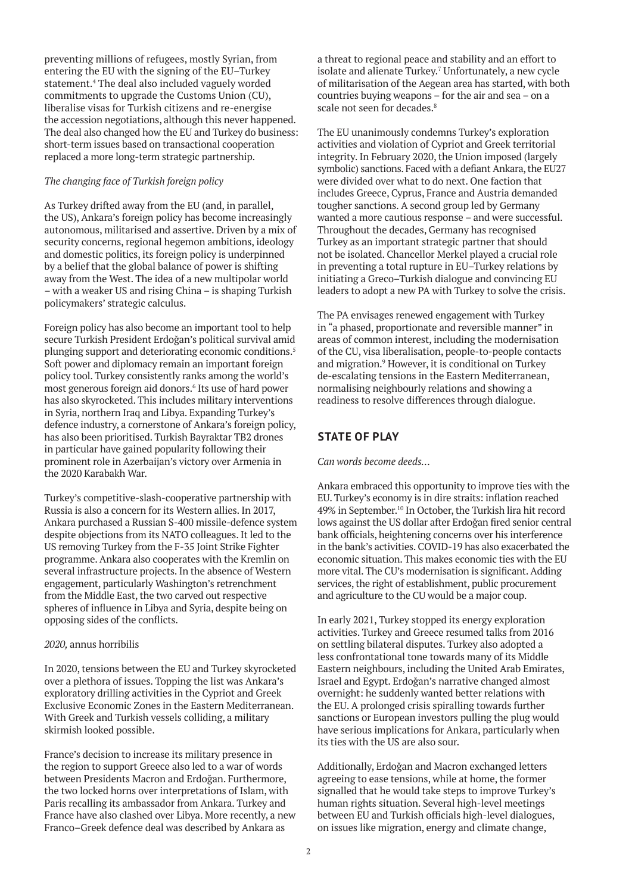preventing millions of refugees, mostly Syrian, from entering the EU with the signing of the EU–Turkey statement.4 The deal also included vaguely worded commitments to upgrade the Customs Union (CU), liberalise visas for Turkish citizens and re-energise the accession negotiations, although this never happened. The deal also changed how the EU and Turkey do business: short-term issues based on transactional cooperation replaced a more long-term strategic partnership.

### *The changing face of Turkish foreign policy*

As Turkey drifted away from the EU (and, in parallel, the US), Ankara's foreign policy has become increasingly autonomous, militarised and assertive. Driven by a mix of security concerns, regional hegemon ambitions, ideology and domestic politics, its foreign policy is underpinned by a belief that the global balance of power is shifting away from the West. The idea of a new multipolar world – with a weaker US and rising China – is shaping Turkish policymakers' strategic calculus.

Foreign policy has also become an important tool to help secure Turkish President Erdoğan's political survival amid plunging support and deteriorating economic conditions.5 Soft power and diplomacy remain an important foreign policy tool. Turkey consistently ranks among the world's most generous foreign aid donors.6 Its use of hard power has also skyrocketed. This includes military interventions in Syria, northern Iraq and Libya. Expanding Turkey's defence industry, a cornerstone of Ankara's foreign policy, has also been prioritised. Turkish Bayraktar TB2 drones in particular have gained popularity following their prominent role in Azerbaijan's victory over Armenia in the 2020 Karabakh War.

Turkey's competitive-slash-cooperative partnership with Russia is also a concern for its Western allies. In 2017, Ankara purchased a Russian S-400 missile-defence system despite objections from its NATO colleagues. It led to the US removing Turkey from the F-35 Joint Strike Fighter programme. Ankara also cooperates with the Kremlin on several infrastructure projects. In the absence of Western engagement, particularly Washington's retrenchment from the Middle East, the two carved out respective spheres of influence in Libya and Syria, despite being on opposing sides of the conflicts.

#### *2020,* annus horribilis

In 2020, tensions between the EU and Turkey skyrocketed over a plethora of issues. Topping the list was Ankara's exploratory drilling activities in the Cypriot and Greek Exclusive Economic Zones in the Eastern Mediterranean. With Greek and Turkish vessels colliding, a military skirmish looked possible.

France's decision to increase its military presence in the region to support Greece also led to a war of words between Presidents Macron and Erdoğan. Furthermore, the two locked horns over interpretations of Islam, with Paris recalling its ambassador from Ankara. Turkey and France have also clashed over Libya. More recently, a new Franco–Greek defence deal was described by Ankara as

a threat to regional peace and stability and an effort to isolate and alienate Turkey.<sup>7</sup> Unfortunately, a new cycle of militarisation of the Aegean area has started, with both countries buying weapons – for the air and sea – on a scale not seen for decades.<sup>8</sup>

The EU unanimously condemns Turkey's exploration activities and violation of Cypriot and Greek territorial integrity. In February 2020, the Union imposed (largely symbolic) sanctions. Faced with a defiant Ankara, the EU27 were divided over what to do next. One faction that includes Greece, Cyprus, France and Austria demanded tougher sanctions. A second group led by Germany wanted a more cautious response – and were successful. Throughout the decades, Germany has recognised Turkey as an important strategic partner that should not be isolated. Chancellor Merkel played a crucial role in preventing a total rupture in EU–Turkey relations by initiating a Greco–Turkish dialogue and convincing EU leaders to adopt a new PA with Turkey to solve the crisis.

The PA envisages renewed engagement with Turkey in "a phased, proportionate and reversible manner" in areas of common interest, including the modernisation of the CU, visa liberalisation, people-to-people contacts and migration.<sup>9</sup> However, it is conditional on Turkey de-escalating tensions in the Eastern Mediterranean, normalising neighbourly relations and showing a readiness to resolve differences through dialogue.

# **STATE OF PLAY**

#### *Can words become deeds…*

Ankara embraced this opportunity to improve ties with the EU. Turkey's economy is in dire straits: inflation reached 49% in September.10 In October, the Turkish lira hit record lows against the US dollar after Erdoğan fired senior central bank officials, heightening concerns over his interference in the bank's activities. COVID-19 has also exacerbated the economic situation. This makes economic ties with the EU more vital. The CU's modernisation is significant. Adding services, the right of establishment, public procurement and agriculture to the CU would be a major coup.

In early 2021, Turkey stopped its energy exploration activities. Turkey and Greece resumed talks from 2016 on settling bilateral disputes. Turkey also adopted a less confrontational tone towards many of its Middle Eastern neighbours, including the United Arab Emirates, Israel and Egypt. Erdoğan's narrative changed almost overnight: he suddenly wanted better relations with the EU. A prolonged crisis spiralling towards further sanctions or European investors pulling the plug would have serious implications for Ankara, particularly when its ties with the US are also sour.

Additionally, Erdoğan and Macron exchanged letters agreeing to ease tensions, while at home, the former signalled that he would take steps to improve Turkey's human rights situation. Several high-level meetings between EU and Turkish officials high-level dialogues, on issues like migration, energy and climate change,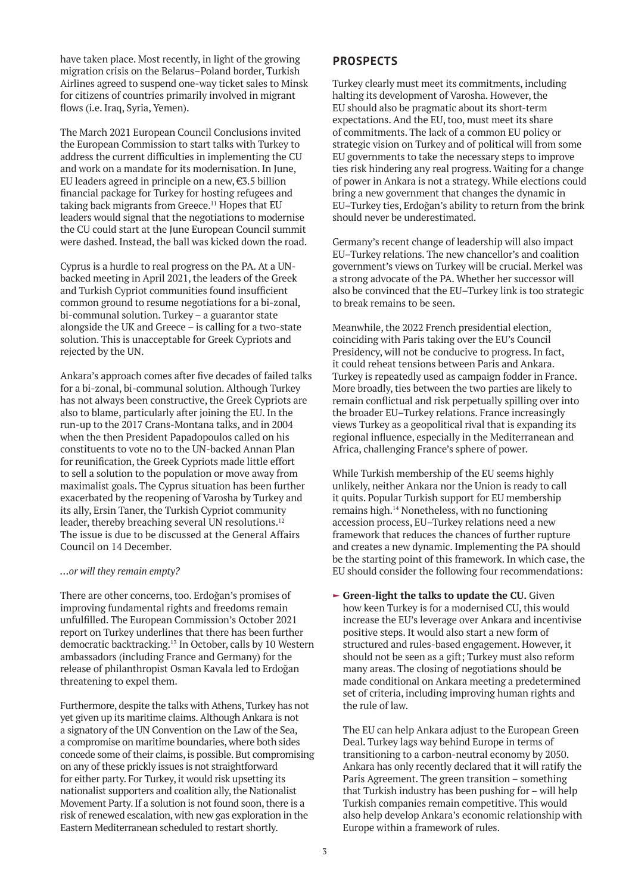have taken place. Most recently, in light of the growing migration crisis on the Belarus–Poland border, Turkish Airlines agreed to suspend one-way ticket sales to Minsk for citizens of countries primarily involved in migrant flows (i.e. Iraq, Syria, Yemen).

The March 2021 European Council Conclusions invited the European Commission to start talks with Turkey to address the current difficulties in implementing the CU and work on a mandate for its modernisation. In June, EU leaders agreed in principle on a new, €3.5 billion financial package for Turkey for hosting refugees and taking back migrants from Greece.<sup>11</sup> Hopes that EU leaders would signal that the negotiations to modernise the CU could start at the June European Council summit were dashed. Instead, the ball was kicked down the road.

Cyprus is a hurdle to real progress on the PA. At a UNbacked meeting in April 2021, the leaders of the Greek and Turkish Cypriot communities found insufficient common ground to resume negotiations for a bi-zonal, bi-communal solution. Turkey – a guarantor state alongside the UK and Greece – is calling for a two-state solution. This is unacceptable for Greek Cypriots and rejected by the UN.

Ankara's approach comes after five decades of failed talks for a bi-zonal, bi-communal solution. Although Turkey has not always been constructive, the Greek Cypriots are also to blame, particularly after joining the EU. In the run-up to the 2017 Crans-Montana talks, and in 2004 when the then President Papadopoulos called on his constituents to vote no to the UN-backed Annan Plan for reunification, the Greek Cypriots made little effort to sell a solution to the population or move away from maximalist goals. The Cyprus situation has been further exacerbated by the reopening of Varosha by Turkey and its ally, Ersin Taner, the Turkish Cypriot community leader, thereby breaching several UN resolutions.<sup>12</sup> The issue is due to be discussed at the General Affairs Council on 14 December.

## *…or will they remain empty?*

There are other concerns, too. Erdoğan's promises of improving fundamental rights and freedoms remain unfulfilled. The European Commission's October 2021 report on Turkey underlines that there has been further democratic backtracking.13 In October, calls by 10 Western ambassadors (including France and Germany) for the release of philanthropist Osman Kavala led to Erdoğan threatening to expel them.

Furthermore, despite the talks with Athens, Turkey has not yet given up its maritime claims. Although Ankara is not a signatory of the UN Convention on the Law of the Sea, a compromise on maritime boundaries, where both sides concede some of their claims, is possible. But compromising on any of these prickly issues is not straightforward for either party. For Turkey, it would risk upsetting its nationalist supporters and coalition ally, the Nationalist Movement Party. If a solution is not found soon, there is a risk of renewed escalation, with new gas exploration in the Eastern Mediterranean scheduled to restart shortly.

## **PROSPECTS**

Turkey clearly must meet its commitments, including halting its development of Varosha. However, the EU should also be pragmatic about its short-term expectations. And the EU, too, must meet its share of commitments. The lack of a common EU policy or strategic vision on Turkey and of political will from some EU governments to take the necessary steps to improve ties risk hindering any real progress. Waiting for a change of power in Ankara is not a strategy. While elections could bring a new government that changes the dynamic in EU–Turkey ties, Erdoğan's ability to return from the brink should never be underestimated.

Germany's recent change of leadership will also impact EU–Turkey relations. The new chancellor's and coalition government's views on Turkey will be crucial. Merkel was a strong advocate of the PA. Whether her successor will also be convinced that the EU–Turkey link is too strategic to break remains to be seen.

Meanwhile, the 2022 French presidential election, coinciding with Paris taking over the EU's Council Presidency, will not be conducive to progress. In fact, it could reheat tensions between Paris and Ankara. Turkey is repeatedly used as campaign fodder in France. More broadly, ties between the two parties are likely to remain conflictual and risk perpetually spilling over into the broader EU–Turkey relations. France increasingly views Turkey as a geopolitical rival that is expanding its regional influence, especially in the Mediterranean and Africa, challenging France's sphere of power.

While Turkish membership of the EU seems highly unlikely, neither Ankara nor the Union is ready to call it quits. Popular Turkish support for EU membership remains high.14 Nonetheless, with no functioning accession process, EU–Turkey relations need a new framework that reduces the chances of further rupture and creates a new dynamic. Implementing the PA should be the starting point of this framework. In which case, the EU should consider the following four recommendations:

**Green-light the talks to update the CU.** Given how keen Turkey is for a modernised CU, this would increase the EU's leverage over Ankara and incentivise positive steps. It would also start a new form of structured and rules-based engagement. However, it should not be seen as a gift; Turkey must also reform many areas. The closing of negotiations should be made conditional on Ankara meeting a predetermined set of criteria, including improving human rights and the rule of law.

The EU can help Ankara adjust to the European Green Deal. Turkey lags way behind Europe in terms of transitioning to a carbon-neutral economy by 2050. Ankara has only recently declared that it will ratify the Paris Agreement. The green transition – something that Turkish industry has been pushing for – will help Turkish companies remain competitive. This would also help develop Ankara's economic relationship with Europe within a framework of rules.